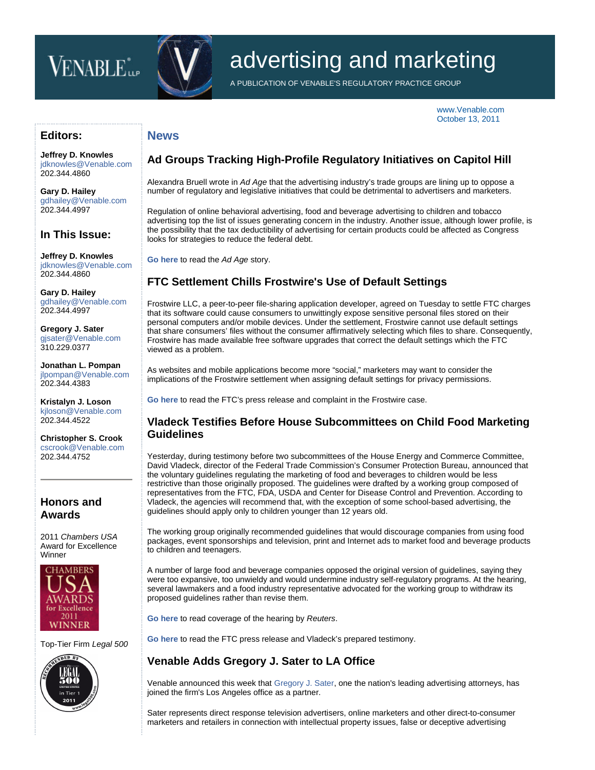# VENABLE<sup>\*</sup>



**News**

# advertising and marketing

A PUBLICATION OF VENABLE'S REGULATORY PRACTICE GROUP

[www.Venable.com](http://www.venable.com/) October 13, 2011

#### **Editors:**

**[Jeffrey D. Knowles](http://www.venable.com/jeffrey-d-knowles/)** [jdknowles@Venable.com](mailto:jdknowles@Venable.com) 202.344.4860

**[Gary D. Hailey](http://www.venable.com/gary-d-hailey/)** [gdhailey@Venable.com](mailto:gdhailey@Venable.com) 202.344.4997

## **In This Issue:**

**[Jeffrey D. Knowles](http://www.venable.com/jeffrey-d-knowles/)** [jdknowles@Venable.com](mailto:jdknowles@Venable.com) 202.344.4860

**[Gary D. Hailey](http://www.venable.com/gary-d-hailey/)** [gdhailey@Venable.com](mailto:gdhailey@Venable.com) 202.344.4997

**[Gregory J. Sater](http://www.venable.com/gregory-j-sater/)** [gjsater@Venable.com](mailto:gjsater@Venable.com) 310.229.0377

**[Jonathan L. Pompan](http://www.venable.com/jonathan-l-pompan/)** [jlpompan@Venable.com](mailto:jlpompan@Venable.com) 202.344.4383

**[Kristalyn J. Loson](http://www.venable.com/kristalyn-j-loson/)** [kjloson@Venable.com](mailto:kjloson@Venable.com) 202.344.4522

**[Christopher S. Crook](http://www.venable.com/christopher-s-crook/)** [cscrook@Venable.com](mailto:cscrook@Venable.com) 202.344.4752

#### **Honors and Awards**

2011 *Chambers USA* Award for Excellence Winner



Top-Tier Firm *Legal 500*



# **Ad Groups Tracking High-Profile Regulatory Initiatives on Capitol Hill**

Alexandra Bruell wrote in *Ad Age* that the advertising industry's trade groups are lining up to oppose a number of regulatory and legislative initiatives that could be detrimental to advertisers and marketers.

Regulation of online behavioral advertising, food and beverage advertising to children and tobacco advertising top the list of issues generating concern in the industry. Another issue, although lower profile, is the possibility that the tax deductibility of advertising for certain products could be affected as Congress looks for strategies to reduce the federal debt.

**[Go here](http://adage.com/article/news/trade-groups-tracking-high-intensity-storms-current-congressional-session/230334/)** to read the *Ad Age* story.

# **FTC Settlement Chills Frostwire's Use of Default Settings**

Frostwire LLC, a peer-to-peer file-sharing application developer, agreed on Tuesday to settle FTC charges that its software could cause consumers to unwittingly expose sensitive personal files stored on their personal computers and/or mobile devices. Under the settlement, Frostwire cannot use default settings that share consumers' files without the consumer affirmatively selecting which files to share. Consequently, Frostwire has made available free software upgrades that correct the default settings which the FTC viewed as a problem.

As websites and mobile applications become more "social," marketers may want to consider the implications of the Frostwire settlement when assigning default settings for privacy permissions.

**[Go here](http://www.ftc.gov/opa/2011/10/frostwire.shtm)** to read the FTC's press release and complaint in the Frostwire case.

#### **Vladeck Testifies Before House Subcommittees on Child Food Marketing Guidelines**

Yesterday, during testimony before two subcommittees of the House Energy and Commerce Committee, David Vladeck, director of the Federal Trade Commission's Consumer Protection Bureau, announced that the voluntary guidelines regulating the marketing of food and beverages to children would be less restrictive than those originally proposed. The guidelines were drafted by a working group composed of representatives from the FTC, FDA, USDA and Center for Disease Control and Prevention. According to Vladeck, the agencies will recommend that, with the exception of some school-based advertising, the guidelines should apply only to children younger than 12 years old.

The working group originally recommended guidelines that would discourage companies from using food packages, event sponsorships and television, print and Internet ads to market food and beverage products to children and teenagers.

A number of large food and beverage companies opposed the original version of guidelines, saying they were too expansive, too unwieldy and would undermine industry self-regulatory programs. At the hearing, several lawmakers and a food industry representative advocated for the working group to withdraw its proposed guidelines rather than revise them.

**[Go here](http://www.reuters.com/article/2011/10/12/advertising-children-idUSN1E79A26O20111012)** to read coverage of the hearing by *Reuters*.

**[Go here](http://www.ftc.gov/opa/2011/10/foodmarketing.shtm)** to read the FTC press release and Vladeck's prepared testimony.

## **Venable Adds Gregory J. Sater to LA Office**

Venable announced this week that [Gregory J. Sater,](http://www.venable.com/gregory-j-sater/) one the nation's leading advertising attorneys, has joined the firm's Los Angeles office as a partner.

Sater represents direct response television advertisers, online marketers and other direct-to-consumer marketers and retailers in connection with intellectual property issues, false or deceptive advertising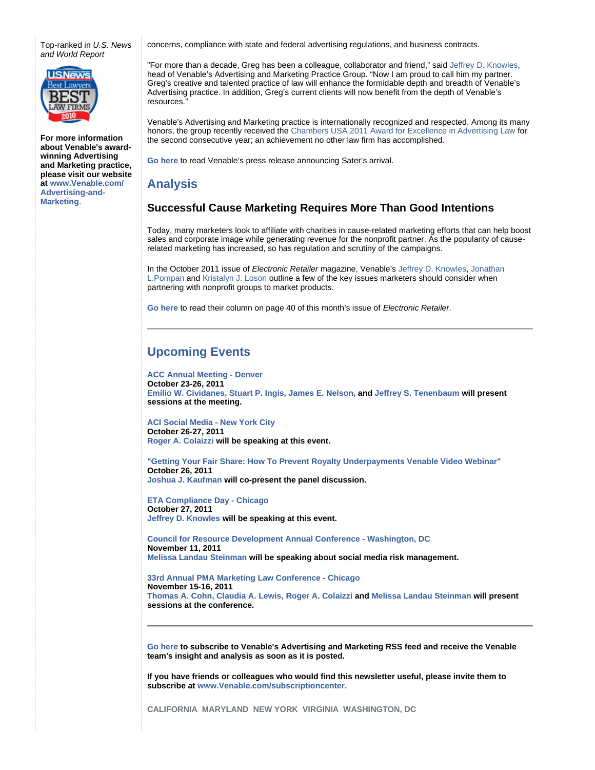Top-ranked in *U.S. News and World Report*



**For more information about Venable's awardwinning Advertising and Marketing practice, please visit our website at [www.Venable.com/](http://www.venable.com/advertising-and-marketing) Advertising-and-Marketing**.

concerns, compliance with state and federal advertising regulations, and business contracts.

"For more than a decade, Greg has been a colleague, collaborator and friend," said [Jeffrey D. Knowles](http://www.venable.com/jeffrey-d-knowles/), head of Venable's Advertising and Marketing Practice Group. "Now I am proud to call him my partner. Greg's creative and talented practice of law will enhance the formidable depth and breadth of Venable's Advertising practice. In addition, Greg's current clients will now benefit from the depth of Venable's resources."

Venable's Advertising and Marketing practice is internationally recognized and respected. Among its many honors, the group recently received the [Chambers USA 2011 Award for Excellence in Advertising Law](http://www.chambersandpartners.com/USA/Firms/78998-42611) for the second consecutive year; an achievement no other law firm has accomplished.

**[Go here](http://www.venable.com/NEP/pressreleases/NewsDetail.aspx?news=31d1705e-a136-4357-9a6a-d6dae3c9b5eb)** to read Venable's press release announcing Sater's arrival.

#### **Analysis**

#### **Successful Cause Marketing Requires More Than Good Intentions**

Today, many marketers look to affiliate with charities in cause-related marketing efforts that can help boost sales and corporate image while generating revenue for the nonprofit partner. As the popularity of causerelated marketing has increased, so has regulation and scrutiny of the campaigns.

In the October 2011 issue of *Electronic Retailer* magazine, Venable's [Jeffrey D. Knowles](http://www.venable.com/jeffrey-d-knowles/), [Jonathan](http://www.venable.com/jonathan-l-pompan/) [L.Pompan](http://www.venable.com/jonathan-l-pompan/) and [Kristalyn J. Loson](http://www.venable.com/kristalyn-j-loson/) outline a few of the key issues marketers should consider when partnering with nonprofit groups to market products.

**[Go here](http://www.nxtbook.com/nxtbooks/naylor/ERAM1011/index.php#/40)** to read their column on page 40 of this month's issue of *Electronic Retailer*.

# **Upcoming Events**

**[ACC Annual Meeting - Denver](http://www.acc.com/education/am11/) October 23-26, 2011 [Emilio W. Cividanes](http://www.venable.com/emilio-w-cividanes/), [Stuart P. Ingis](http://www.venable.com/stuart-p-ingis/), [James E. Nelson,](http://www.venable.com/james-e-nelson/) and [Jeffrey S. Tenenbaum](http://www.venable.com/jeffrey-s-tenenbaum/) will present sessions at the meeting.**

**[ACI Social Media - New York City](http://www.americanconference.com/SocialMedia/agenda) October 26-27, 2011 [Roger A. Colaizzi](http://www.venable.com/roger-a-colaizzi/) will be speaking at this event.**

**["Getting Your Fair Share: How To Prevent Royalty Underpayments Venable Video Webinar"](http://www.venable.com/getting-your-fair-share-how-to-prevent-royalty-underpayments-venable-video-webinar-10-26-2011/) October 26, 2011 [Joshua J. Kaufman](http://www.venable.com/joshua-j-kaufman/) will co-present the panel discussion.**

**[ETA Compliance Day - Chicago](http://www.venable.com/point--counterpoint-with-the-ftc-at-compliance-day-for-the-electronic-transactions-association-10-27-2011/) October 27, 2011 [Jeffrey D. Knowles](http://www.venable.com/jeffrey-d-knowles/) will be speaking at this event.**

**[Council for Resource Development Annual Conference - Washington, DC](http://www.crdnet.org/index.php?option=com_content&view=article&id=75&Itemid=80) November 11, 2011 [Melissa Landau Steinman](http://www.venable.com/melissa-l-steinman/) will be speaking about social media risk management.**

**[33rd Annual PMA Marketing Law Conference - Chicago](http://www.pmalink.org/?law2011) November 15-16, 2011 [Thomas A. Cohn,](http://www.venable.com/thomas-a-cohn/) [Claudia A. Lewis,](http://www.venable.com/claudia-a-lewis-eng/) [Roger A. Colaizzi](http://www.venable.com/roger-a-colaizzi/) and [Melissa Landau Steinman](http://www.venable.com/melissa-l-steinman/) will present sessions at the conference.**

**[Go here](http://www.venable.com/RSS) to subscribe to Venable's Advertising and Marketing RSS feed and receive the Venable team's insight and analysis as soon as it is posted.**

**If you have friends or colleagues who would find this newsletter useful, please invite them to subscribe at [www.Venable.com/subscriptioncenter.](http://www.venable.com/subscriptioncenter)**

**CALIFORNIA MARYLAND NEW YORK VIRGINIA WASHINGTON, DC**